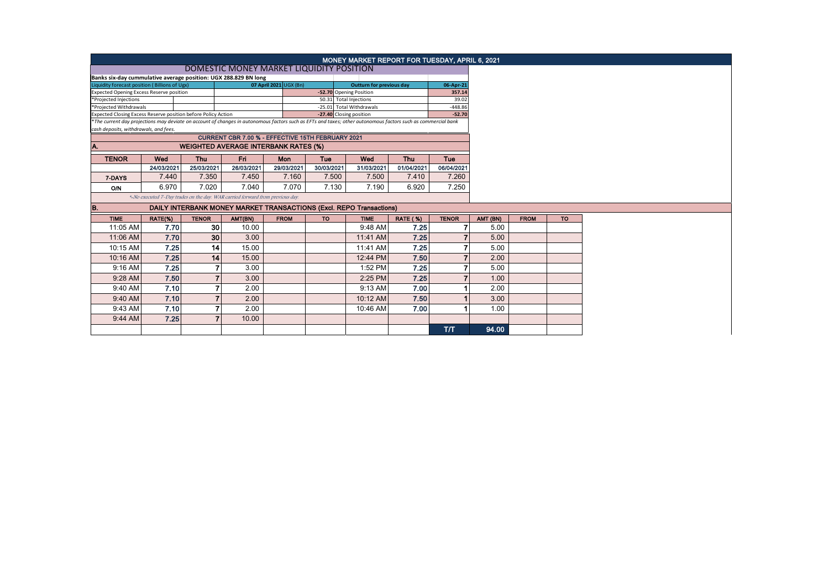|                                                                                                                                                                                                        | <b>MONEY MARKET REPORT FOR TUESDAY, APRIL 6, 2021</b><br>DOMESTIC MONEY MARKET LIQUIDITY POSITION |                 |                                                                               |             |                         |                          |                 |                       |          |             |           |  |  |
|--------------------------------------------------------------------------------------------------------------------------------------------------------------------------------------------------------|---------------------------------------------------------------------------------------------------|-----------------|-------------------------------------------------------------------------------|-------------|-------------------------|--------------------------|-----------------|-----------------------|----------|-------------|-----------|--|--|
|                                                                                                                                                                                                        | Banks six-day cummulative average position: UGX 288.829 BN long                                   |                 |                                                                               |             |                         |                          |                 |                       |          |             |           |  |  |
| Liquidity forecast position (Billions of Ugx)                                                                                                                                                          |                                                                                                   |                 |                                                                               |             |                         |                          |                 |                       |          |             |           |  |  |
| 07 April 2021 UGX (Bn)<br>06-Apr-21<br><b>Outturn for previous day</b><br>-52.70 Opening Position<br>Expected Opening Excess Reserve position<br>357.14                                                |                                                                                                   |                 |                                                                               |             |                         |                          |                 |                       |          |             |           |  |  |
| 50.31 Total Injections<br>*Projected Injections                                                                                                                                                        |                                                                                                   |                 |                                                                               |             |                         |                          |                 |                       |          |             |           |  |  |
| *Projected Withdrawals                                                                                                                                                                                 |                                                                                                   |                 |                                                                               |             | -27.40 Closing position | -25.01 Total Withdrawals |                 | $-448.86$<br>$-52.70$ |          |             |           |  |  |
| Expected Closing Excess Reserve position before Policy Action                                                                                                                                          |                                                                                                   |                 |                                                                               |             |                         |                          |                 |                       |          |             |           |  |  |
| *The current day projections may deviate on account of changes in autonomous factors such as EFTs and taxes; other autonomous factors such as commercial bank<br>cash deposits, withdrawals, and fees. |                                                                                                   |                 |                                                                               |             |                         |                          |                 |                       |          |             |           |  |  |
|                                                                                                                                                                                                        |                                                                                                   |                 | CURRENT CBR 7.00 % - EFFECTIVE 15TH FEBRUARY 2021                             |             |                         |                          |                 |                       |          |             |           |  |  |
| A.                                                                                                                                                                                                     |                                                                                                   |                 | <b>WEIGHTED AVERAGE INTERBANK RATES (%)</b>                                   |             |                         |                          |                 |                       |          |             |           |  |  |
| <b>TENOR</b>                                                                                                                                                                                           | Fri<br>Wed<br><b>Thu</b><br>Mon<br>Tue<br>Wed<br><b>Thu</b><br>Tue                                |                 |                                                                               |             |                         |                          |                 |                       |          |             |           |  |  |
|                                                                                                                                                                                                        | 24/03/2021                                                                                        | 25/03/2021      | 26/03/2021                                                                    | 29/03/2021  | 30/03/2021              | 31/03/2021               | 01/04/2021      | 06/04/2021            |          |             |           |  |  |
| 7-DAYS                                                                                                                                                                                                 | 7.440                                                                                             | 7.350           | 7.450                                                                         | 7.160       | 7.500                   | 7.500                    | 7.410           | 7.260                 |          |             |           |  |  |
| <b>O/N</b>                                                                                                                                                                                             | 6.970                                                                                             | 7.020           | 7.040                                                                         | 7.070       | 7.130                   | 7.190                    | 6.920           | 7.250                 |          |             |           |  |  |
|                                                                                                                                                                                                        |                                                                                                   |                 | *-No executed 7-Day trades on the day. WAR carried forward from previous day. |             |                         |                          |                 |                       |          |             |           |  |  |
| B.                                                                                                                                                                                                     |                                                                                                   |                 | <b>DAILY INTERBANK MONEY MARKET TRANSACTIONS (Excl. REPO Transactions)</b>    |             |                         |                          |                 |                       |          |             |           |  |  |
| <b>TIME</b>                                                                                                                                                                                            | <b>TENOR</b><br>RATE(%)                                                                           |                 |                                                                               | <b>FROM</b> | <b>TO</b>               | <b>TIME</b>              | <b>RATE (%)</b> | <b>TENOR</b>          | AMT (BN) | <b>FROM</b> | <b>TO</b> |  |  |
| 11:05 AM                                                                                                                                                                                               | 7.70                                                                                              | 30 <sup>°</sup> | 10.00                                                                         |             |                         | 9:48 AM                  | 7.25            |                       | 5.00     |             |           |  |  |
| 11:06 AM                                                                                                                                                                                               | 7.70                                                                                              | 30 <sup>1</sup> | 3.00                                                                          |             |                         | 11:41 AM                 | 7.25            |                       | 5.00     |             |           |  |  |
| 10:15 AM                                                                                                                                                                                               | 7.25                                                                                              | 14              | 15.00                                                                         |             |                         | 11:41 AM                 | 7.25            |                       | 5.00     |             |           |  |  |
| 10:16 AM                                                                                                                                                                                               | 7.25                                                                                              | 14              | 15.00                                                                         |             |                         | 12:44 PM                 | 7.50            |                       | 2.00     |             |           |  |  |
| 9:16 AM                                                                                                                                                                                                | 7.25                                                                                              |                 | 3.00                                                                          |             |                         | 1:52 PM                  | 7.25            |                       | 5.00     |             |           |  |  |
| 9:28 AM                                                                                                                                                                                                | 7.50                                                                                              |                 | 3.00                                                                          |             |                         | 2:25 PM                  | 7.25            |                       | 1.00     |             |           |  |  |
| 9:40 AM                                                                                                                                                                                                | 7.10                                                                                              |                 | 7<br>2.00                                                                     |             |                         | 9:13 AM                  | 7.00            |                       | 2.00     |             |           |  |  |
| 9:40 AM                                                                                                                                                                                                | 7.10                                                                                              |                 | $\overline{ }$<br>2.00                                                        |             |                         | 10:12 AM                 | 7.50            |                       | 3.00     |             |           |  |  |
| 9:43 AM                                                                                                                                                                                                | 7.10                                                                                              |                 | 2.00                                                                          |             |                         | 10:46 AM                 | 7.00            |                       | 1.00     |             |           |  |  |
| 9:44 AM                                                                                                                                                                                                | 7.25                                                                                              |                 | $\overline{7}$<br>10.00                                                       |             |                         |                          |                 |                       |          |             |           |  |  |
|                                                                                                                                                                                                        |                                                                                                   |                 |                                                                               |             |                         |                          |                 | <b>T/T</b>            | 94.00    |             |           |  |  |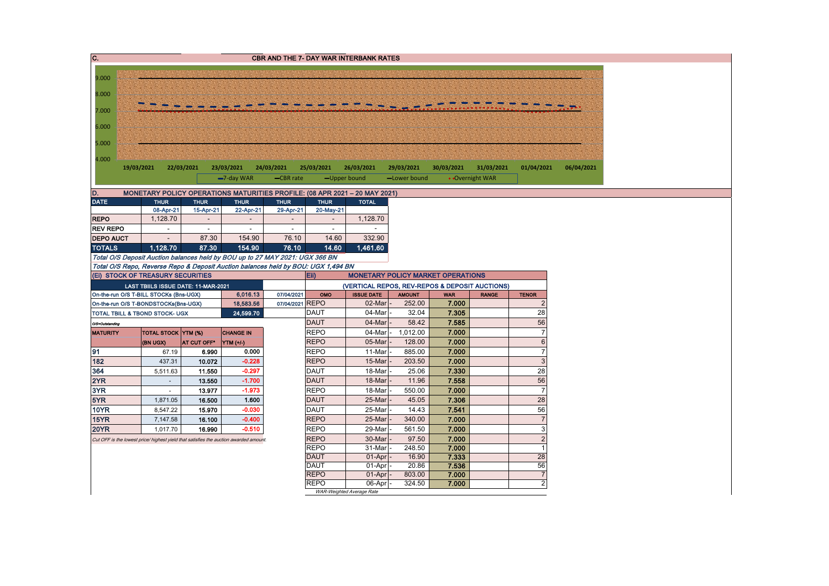| C.               |                                                                                      |             |                       | <b>CBR AND THE 7- DAY WAR INTERBANK RATES</b> |                          |                             |                                                |                     |                 |                                |            |
|------------------|--------------------------------------------------------------------------------------|-------------|-----------------------|-----------------------------------------------|--------------------------|-----------------------------|------------------------------------------------|---------------------|-----------------|--------------------------------|------------|
|                  |                                                                                      |             |                       |                                               |                          |                             |                                                |                     |                 |                                |            |
| 9.000            |                                                                                      |             |                       |                                               |                          |                             |                                                |                     |                 |                                |            |
| 8.000            |                                                                                      |             |                       |                                               |                          |                             |                                                |                     |                 |                                |            |
| 7.000            |                                                                                      |             |                       |                                               |                          |                             |                                                |                     |                 |                                |            |
| 6.000            |                                                                                      |             |                       |                                               |                          |                             |                                                |                     |                 |                                |            |
| 5.000            |                                                                                      |             |                       |                                               |                          |                             |                                                |                     |                 |                                |            |
| 4.000            |                                                                                      |             |                       |                                               |                          |                             |                                                |                     |                 |                                |            |
|                  | 19/03/2021                                                                           | 22/03/2021  | 23/03/2021            | 24/03/2021                                    | 25/03/2021               | 26/03/2021                  | 29/03/2021                                     | 30/03/2021          | 31/03/2021      | 01/04/2021                     | 06/04/2021 |
|                  |                                                                                      |             | -7-day WAR            | -CBR rate                                     |                          | -Upper bound                | -Lower bound                                   |                     | • Overnight WAR |                                |            |
| D.               | MONETARY POLICY OPERATIONS MATURITIES PROFILE: (08 APR 2021 - 20 MAY 2021)           |             |                       |                                               |                          |                             |                                                |                     |                 |                                |            |
| <b>DATE</b>      | <b>THUR</b>                                                                          | <b>THUR</b> | <b>THUR</b>           | <b>THUR</b>                                   | <b>THUR</b>              | <b>TOTAL</b>                |                                                |                     |                 |                                |            |
|                  | 08-Apr-21                                                                            | 15-Apr-21   | 22-Apr-21             | 29-Apr-21                                     | 20-May-21                |                             |                                                |                     |                 |                                |            |
| <b>REPO</b>      | 1,128.70                                                                             | $\sim$      | $\sim$                | $\sim$                                        | $\overline{\phantom{a}}$ | 1,128.70                    |                                                |                     |                 |                                |            |
| <b>REV REPO</b>  | $\sim$                                                                               | $\sim$      | $\sim$                | $\sim$                                        | $\sim$                   |                             |                                                |                     |                 |                                |            |
| <b>DEPO AUCT</b> |                                                                                      | 87.30       | 154.90                | 76.10                                         | 14.60                    | 332.90                      |                                                |                     |                 |                                |            |
| <b>TOTALS</b>    | 1.128.70                                                                             | 87.30       | 154.90                | 76.10                                         | 14.60                    | 1,461.60                    |                                                |                     |                 |                                |            |
|                  | Total O/S Deposit Auction balances held by BOU up to 27 MAY 2021: UGX 366 BN         |             |                       |                                               |                          |                             |                                                |                     |                 |                                |            |
|                  | Total O/S Repo, Reverse Repo & Deposit Auction balances held by BOU: UGX 1,494 BN    |             |                       |                                               |                          |                             |                                                |                     |                 |                                |            |
|                  | (Ei) STOCK OF TREASURY SECURITIES                                                    |             |                       |                                               | Eii)                     |                             | <b>MONETARY POLICY MARKET OPERATIONS</b>       |                     |                 |                                |            |
|                  | LAST TBIILS ISSUE DATE: 11-MAR-2021                                                  |             |                       |                                               |                          |                             | (VERTICAL REPOS, REV-REPOS & DEPOSIT AUCTIONS) |                     |                 |                                |            |
|                  | On-the-run O/S T-BILL STOCKs (Bns-UGX)<br>On-the-run O/S T-BONDSTOCKs(Bns-UGX)       |             | 6,016.13<br>18,583.56 | 07/04/2021<br>07/04/2021 REPO                 | OMO                      | <b>ISSUE DATE</b><br>02-Mar | <b>AMOUNT</b><br>252.00                        | <b>WAR</b><br>7.000 | <b>RANGE</b>    | <b>TENOR</b><br>$\overline{2}$ |            |
|                  | <b>TOTAL TBILL &amp; TBOND STOCK- UGX</b>                                            |             | 24,599.70             |                                               | <b>DAUT</b>              | 04-Mar                      | 32.04                                          | 7.305               |                 | 28                             |            |
| O/S=Outstanding  |                                                                                      |             |                       |                                               | <b>DAUT</b>              | 04-Mar                      | 58.42                                          | 7.585               |                 | 56                             |            |
| <b>MATURITY</b>  | TOTAL STOCK YTM (%)                                                                  |             | <b>CHANGE IN</b>      |                                               | <b>REPO</b>              | 04-Mar                      | 1,012.00                                       | 7.000               |                 | $\overline{7}$                 |            |
|                  | (BN UGX)                                                                             | AT CUT OFF* | YTM (+/-)             |                                               | <b>REPO</b>              | 05-Mar                      | 128.00                                         | 7.000               |                 | $\,6\,$                        |            |
| 91               | 67.19                                                                                | 6.990       | 0.000                 |                                               | <b>REPO</b>              | 11-Mar                      | 885.00                                         | 7.000               |                 | $\overline{7}$                 |            |
| 182              | 437.31                                                                               | 10.072      | $-0.228$              |                                               | <b>REPO</b>              | 15-Mar                      | 203.50                                         | 7.000               |                 | $\mathbf{3}$                   |            |
| 364              | 5,511.63                                                                             | 11.550      | $-0.297$              |                                               | <b>DAUT</b>              | 18-Mar                      | 25.06                                          | 7.330               |                 | 28                             |            |
| 2YR              | $\omega$                                                                             | 13.550      | $-1.700$              |                                               | <b>DAUT</b>              | 18-Mar                      | 11.96                                          | 7.558               |                 | 56                             |            |
| 3YR              | $\blacksquare$                                                                       | 13.977      | $-1.973$              |                                               | <b>REPO</b>              | 18-Mar                      | 550.00                                         | 7.000               |                 | $\overline{7}$                 |            |
| 5YR              | 1,871.05                                                                             | 16.500      | 1.600                 |                                               | <b>DAUT</b>              | 25-Mar                      | 45.05                                          | 7.306               |                 | 28                             |            |
| <b>10YR</b>      | 8,547.22                                                                             | 15.970      | $-0.030$              |                                               | <b>DAUT</b>              | 25-Mar                      | 14.43                                          | 7.541               |                 | 56                             |            |
| <b>15YR</b>      | 7,147.58                                                                             | 16.100      | $-0.400$              |                                               | <b>REPO</b>              | 25-Mar                      | 340.00                                         | 7.000               |                 | $\overline{\mathcal{I}}$       |            |
| <b>20YR</b>      | 1,017.70                                                                             | 16.990      | $-0.510$              |                                               | <b>REPO</b>              | 29-Mar                      | 561.50                                         | 7.000               |                 | $\ensuremath{\mathsf{3}}$      |            |
|                  | Cut OFF is the lowest price/ highest yield that satisfies the auction awarded amount |             |                       |                                               | <b>REPO</b>              | 30-Mar                      | 97.50                                          | 7.000               |                 | $\overline{2}$                 |            |
|                  |                                                                                      |             |                       |                                               | <b>REPO</b>              | 31-Mar                      | 248.50                                         | 7.000               |                 | $\mathbf{1}$                   |            |
|                  |                                                                                      |             |                       |                                               | <b>DAUT</b>              | 01-Apr                      | 16.90                                          | 7 3 3 3             |                 | 28                             |            |
|                  |                                                                                      |             |                       |                                               | <b>DAUT</b>              | 01-Apr                      | 20.86                                          | 7.536               |                 | 56                             |            |
|                  |                                                                                      |             |                       |                                               | <b>REPO</b>              | 01-Apr                      | 803.00                                         | 7.000               |                 | $\overline{7}$                 |            |
|                  |                                                                                      |             |                       |                                               | <b>REPO</b>              | 06-Apr                      | 324.50                                         | 7.000               |                 | $\overline{2}$                 |            |
|                  |                                                                                      |             |                       |                                               |                          | WAR-Weighted Average Rate   |                                                |                     |                 |                                |            |